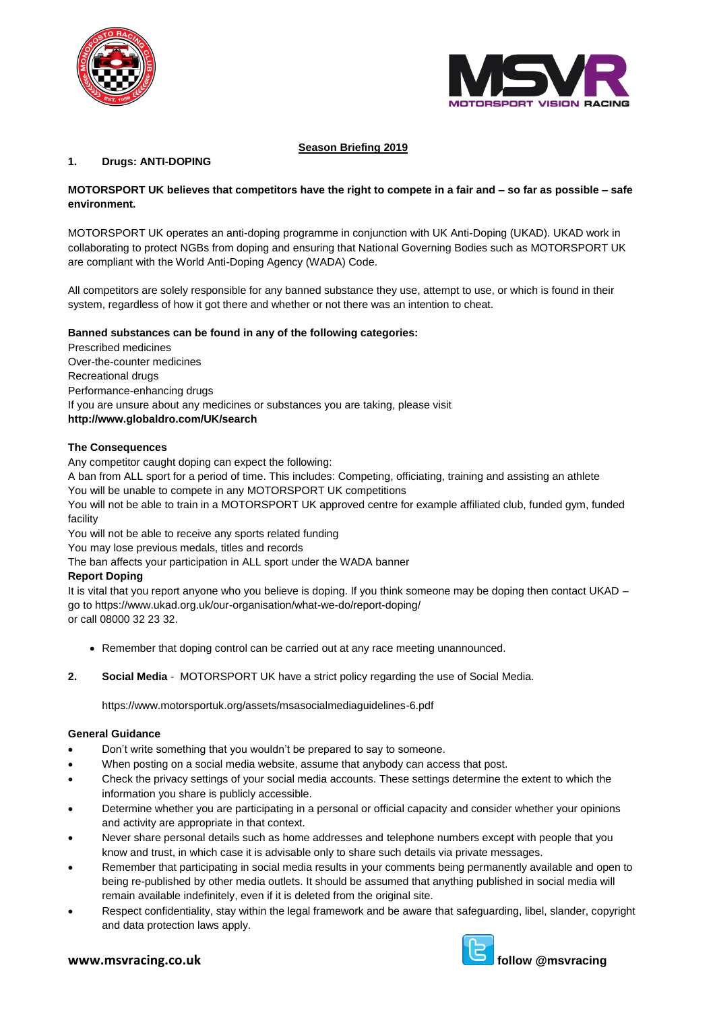



# **Season Briefing 2019**

### **1. Drugs: ANTI-DOPING**

### **MOTORSPORT UK believes that competitors have the right to compete in a fair and – so far as possible – safe environment.**

MOTORSPORT UK operates an anti-doping programme in conjunction with UK Anti-Doping (UKAD). UKAD work in collaborating to protect NGBs from doping and ensuring that National Governing Bodies such as MOTORSPORT UK are compliant with the World Anti-Doping Agency (WADA) Code.

All competitors are solely responsible for any banned substance they use, attempt to use, or which is found in their system, regardless of how it got there and whether or not there was an intention to cheat.

### **Banned substances can be found in any of the following categories:**

Prescribed medicines Over-the-counter medicines Recreational drugs Performance-enhancing drugs If you are unsure about any medicines or substances you are taking, please visit **http://www.globaldro.com/UK/search**

### **The Consequences**

Any competitor caught doping can expect the following:

A ban from ALL sport for a period of time. This includes: Competing, officiating, training and assisting an athlete You will be unable to compete in any MOTORSPORT UK competitions

You will not be able to train in a MOTORSPORT UK approved centre for example affiliated club, funded gym, funded facility

You will not be able to receive any sports related funding

You may lose previous medals, titles and records

The ban affects your participation in ALL sport under the WADA banner

### **Report Doping**

It is vital that you report anyone who you believe is doping. If you think someone may be doping then contact UKAD – go to https://www.ukad.org.uk/our-organisation/what-we-do/report-doping/ or call 08000 32 23 32.

- Remember that doping control can be carried out at any race meeting unannounced.
- **2. Social Media** MOTORSPORT UK have a strict policy regarding the use of Social Media.

https://www.motorsportuk.org/assets/msasocialmediaguidelines-6.pdf

### **General Guidance**

- Don't write something that you wouldn't be prepared to say to someone.
- When posting on a social media website, assume that anybody can access that post.
- Check the privacy settings of your social media accounts. These settings determine the extent to which the information you share is publicly accessible.
- Determine whether you are participating in a personal or official capacity and consider whether your opinions and activity are appropriate in that context.
- Never share personal details such as home addresses and telephone numbers except with people that you know and trust, in which case it is advisable only to share such details via private messages.
- Remember that participating in social media results in your comments being permanently available and open to being re-published by other media outlets. It should be assumed that anything published in social media will remain available indefinitely, even if it is deleted from the original site.
- Respect confidentiality, stay within the legal framework and be aware that safeguarding, libel, slander, copyright and data protection laws apply.

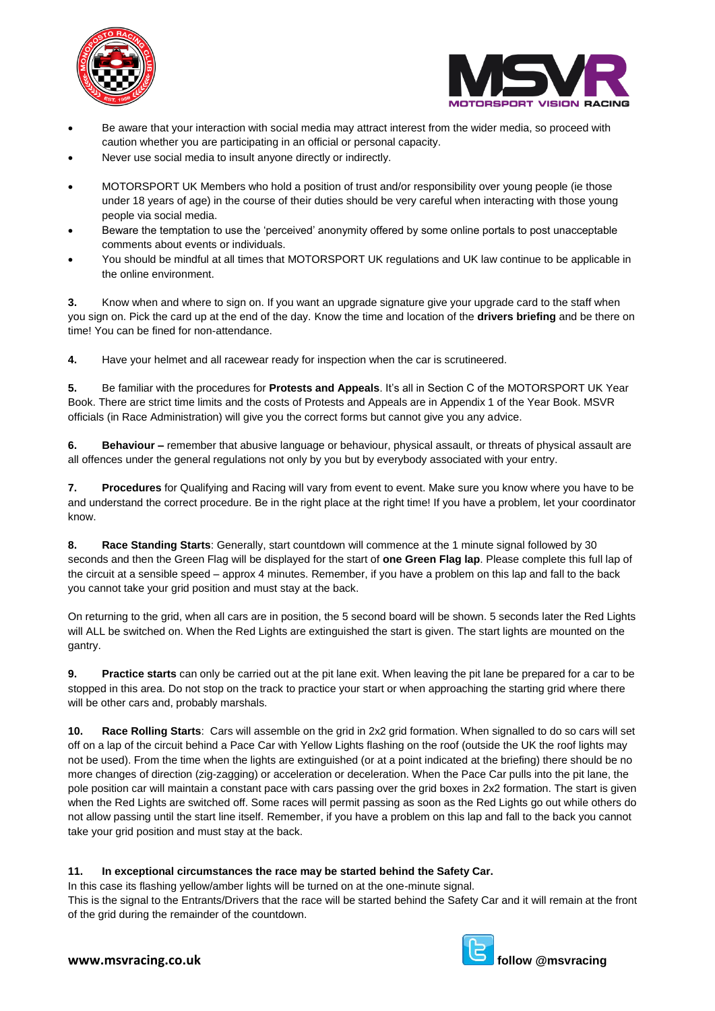



- Be aware that your interaction with social media may attract interest from the wider media, so proceed with caution whether you are participating in an official or personal capacity.
- Never use social media to insult anyone directly or indirectly.
- MOTORSPORT UK Members who hold a position of trust and/or responsibility over young people (ie those under 18 years of age) in the course of their duties should be very careful when interacting with those young people via social media.
- Beware the temptation to use the 'perceived' anonymity offered by some online portals to post unacceptable comments about events or individuals.
- You should be mindful at all times that MOTORSPORT UK regulations and UK law continue to be applicable in the online environment.

**3.** Know when and where to sign on. If you want an upgrade signature give your upgrade card to the staff when you sign on. Pick the card up at the end of the day. Know the time and location of the **drivers briefing** and be there on time! You can be fined for non-attendance.

**4.** Have your helmet and all racewear ready for inspection when the car is scrutineered.

**5.** Be familiar with the procedures for **Protests and Appeals**. It's all in Section C of the MOTORSPORT UK Year Book. There are strict time limits and the costs of Protests and Appeals are in Appendix 1 of the Year Book. MSVR officials (in Race Administration) will give you the correct forms but cannot give you any advice.

**6. Behaviour –** remember that abusive language or behaviour, physical assault, or threats of physical assault are all offences under the general regulations not only by you but by everybody associated with your entry.

**7. Procedures** for Qualifying and Racing will vary from event to event. Make sure you know where you have to be and understand the correct procedure. Be in the right place at the right time! If you have a problem, let your coordinator know.

**8. Race Standing Starts**: Generally, start countdown will commence at the 1 minute signal followed by 30 seconds and then the Green Flag will be displayed for the start of **one Green Flag lap**. Please complete this full lap of the circuit at a sensible speed – approx 4 minutes. Remember, if you have a problem on this lap and fall to the back you cannot take your grid position and must stay at the back.

On returning to the grid, when all cars are in position, the 5 second board will be shown. 5 seconds later the Red Lights will ALL be switched on. When the Red Lights are extinguished the start is given. The start lights are mounted on the gantry.

**9. Practice starts** can only be carried out at the pit lane exit. When leaving the pit lane be prepared for a car to be stopped in this area. Do not stop on the track to practice your start or when approaching the starting grid where there will be other cars and, probably marshals.

**10. Race Rolling Starts**: Cars will assemble on the grid in 2x2 grid formation. When signalled to do so cars will set off on a lap of the circuit behind a Pace Car with Yellow Lights flashing on the roof (outside the UK the roof lights may not be used). From the time when the lights are extinguished (or at a point indicated at the briefing) there should be no more changes of direction (zig-zagging) or acceleration or deceleration. When the Pace Car pulls into the pit lane, the pole position car will maintain a constant pace with cars passing over the grid boxes in 2x2 formation. The start is given when the Red Lights are switched off. Some races will permit passing as soon as the Red Lights go out while others do not allow passing until the start line itself. Remember, if you have a problem on this lap and fall to the back you cannot take your grid position and must stay at the back.

### **11. In exceptional circumstances the race may be started behind the Safety Car.**

In this case its flashing yellow/amber lights will be turned on at the one-minute signal.



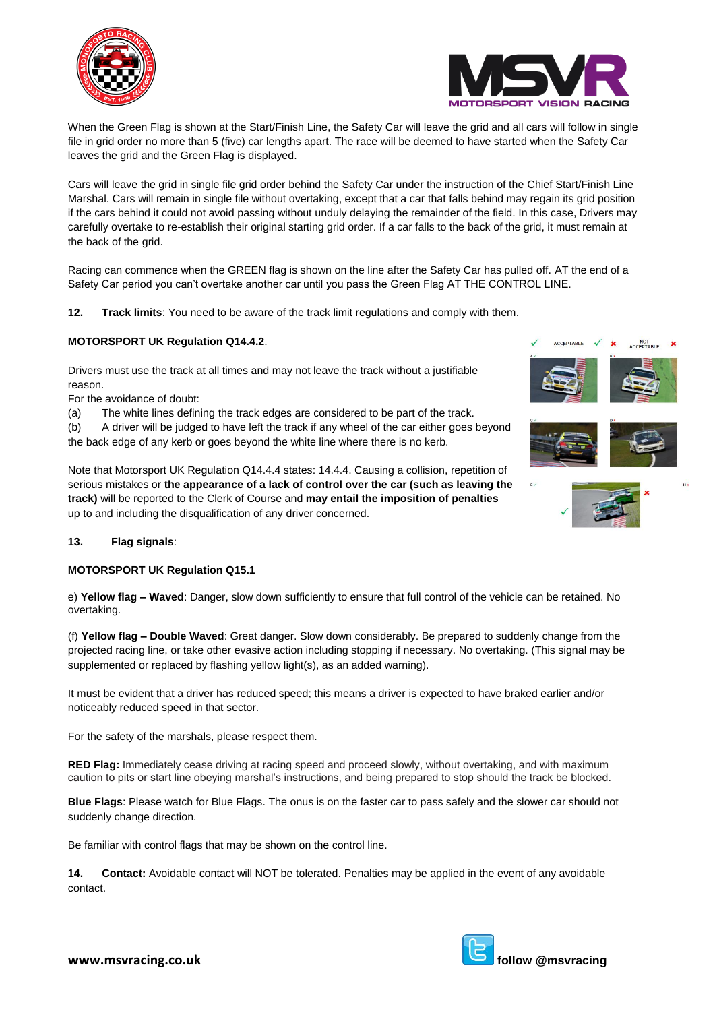



When the Green Flag is shown at the Start/Finish Line, the Safety Car will leave the grid and all cars will follow in single file in grid order no more than 5 (five) car lengths apart. The race will be deemed to have started when the Safety Car leaves the grid and the Green Flag is displayed.

Cars will leave the grid in single file grid order behind the Safety Car under the instruction of the Chief Start/Finish Line Marshal. Cars will remain in single file without overtaking, except that a car that falls behind may regain its grid position if the cars behind it could not avoid passing without unduly delaying the remainder of the field. In this case, Drivers may carefully overtake to re-establish their original starting grid order. If a car falls to the back of the grid, it must remain at the back of the grid.

Racing can commence when the GREEN flag is shown on the line after the Safety Car has pulled off. AT the end of a Safety Car period you can't overtake another car until you pass the Green Flag AT THE CONTROL LINE.

**12. Track limits**: You need to be aware of the track limit regulations and comply with them.

## **MOTORSPORT UK Regulation Q14.4.2**.

Drivers must use the track at all times and may not leave the track without a justifiable reason.

For the avoidance of doubt:

(a) The white lines defining the track edges are considered to be part of the track.

(b) A driver will be judged to have left the track if any wheel of the car either goes beyond the back edge of any kerb or goes beyond the white line where there is no kerb.

Note that Motorsport UK Regulation Q14.4.4 states: 14.4.4. Causing a collision, repetition of serious mistakes or **the appearance of a lack of control over the car (such as leaving the track)** will be reported to the Clerk of Course and **may entail the imposition of penalties** up to and including the disqualification of any driver concerned.



#### **13. Flag signals**:

#### **MOTORSPORT UK Regulation Q15.1**

e) **Yellow flag – Waved**: Danger, slow down sufficiently to ensure that full control of the vehicle can be retained. No overtaking.

(f) **Yellow flag – Double Waved**: Great danger. Slow down considerably. Be prepared to suddenly change from the projected racing line, or take other evasive action including stopping if necessary. No overtaking. (This signal may be supplemented or replaced by flashing yellow light(s), as an added warning).

It must be evident that a driver has reduced speed; this means a driver is expected to have braked earlier and/or noticeably reduced speed in that sector.

For the safety of the marshals, please respect them.

**RED Flag:** Immediately cease driving at racing speed and proceed slowly, without overtaking, and with maximum caution to pits or start line obeying marshal's instructions, and being prepared to stop should the track be blocked.

**Blue Flags**: Please watch for Blue Flags. The onus is on the faster car to pass safely and the slower car should not suddenly change direction.

Be familiar with control flags that may be shown on the control line.

**14. Contact:** Avoidable contact will NOT be tolerated. Penalties may be applied in the event of any avoidable contact.